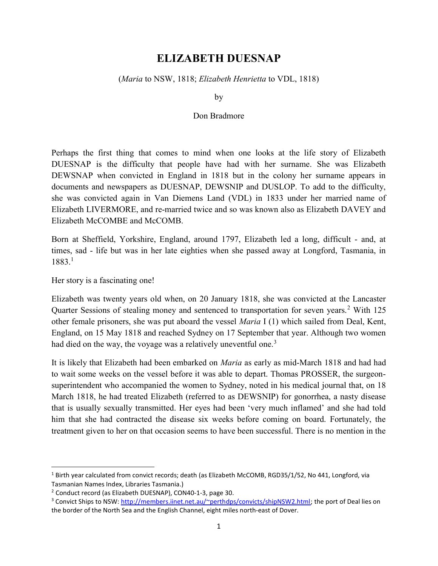## ELIZABETH DUESNAP

(Maria to NSW, 1818; Elizabeth Henrietta to VDL, 1818)

by

## Don Bradmore

Perhaps the first thing that comes to mind when one looks at the life story of Elizabeth DUESNAP is the difficulty that people have had with her surname. She was Elizabeth DEWSNAP when convicted in England in 1818 but in the colony her surname appears in documents and newspapers as DUESNAP, DEWSNIP and DUSLOP. To add to the difficulty, she was convicted again in Van Diemens Land (VDL) in 1833 under her married name of Elizabeth LIVERMORE, and re-married twice and so was known also as Elizabeth DAVEY and Elizabeth McCOMBE and McCOMB.

Born at Sheffield, Yorkshire, England, around 1797, Elizabeth led a long, difficult - and, at times, sad - life but was in her late eighties when she passed away at Longford, Tasmania, in  $1883.<sup>1</sup>$ 

Her story is a fascinating one!

 $\overline{a}$ 

Elizabeth was twenty years old when, on 20 January 1818, she was convicted at the Lancaster Quarter Sessions of stealing money and sentenced to transportation for seven years.<sup>2</sup> With 125 other female prisoners, she was put aboard the vessel Maria I (1) which sailed from Deal, Kent, England, on 15 May 1818 and reached Sydney on 17 September that year. Although two women had died on the way, the voyage was a relatively uneventful one.<sup>3</sup>

It is likely that Elizabeth had been embarked on Maria as early as mid-March 1818 and had had to wait some weeks on the vessel before it was able to depart. Thomas PROSSER, the surgeonsuperintendent who accompanied the women to Sydney, noted in his medical journal that, on 18 March 1818, he had treated Elizabeth (referred to as DEWSNIP) for gonorrhea, a nasty disease that is usually sexually transmitted. Her eyes had been 'very much inflamed' and she had told him that she had contracted the disease six weeks before coming on board. Fortunately, the treatment given to her on that occasion seems to have been successful. There is no mention in the

<sup>&</sup>lt;sup>1</sup> Birth year calculated from convict records; death (as Elizabeth McCOMB, RGD35/1/52, No 441, Longford, via Tasmanian Names Index, Libraries Tasmania.)

<sup>2</sup> Conduct record (as Elizabeth DUESNAP), CON40-1-3, page 30.

<sup>&</sup>lt;sup>3</sup> Convict Ships to NSW: http://members.iinet.net.au/~perthdps/convicts/shipNSW2.html; the port of Deal lies on the border of the North Sea and the English Channel, eight miles north-east of Dover.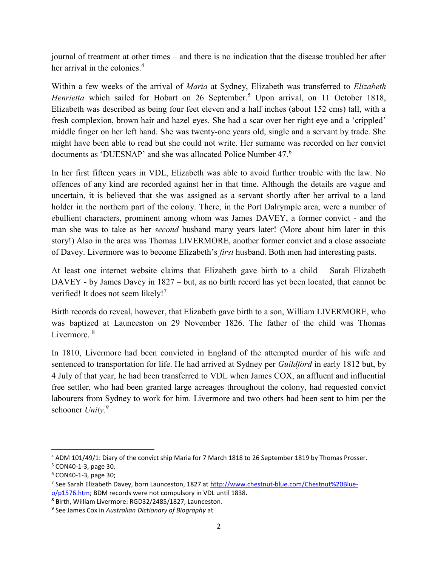journal of treatment at other times – and there is no indication that the disease troubled her after her arrival in the colonies.<sup>4</sup>

Within a few weeks of the arrival of *Maria* at Sydney, Elizabeth was transferred to *Elizabeth* Henrietta which sailed for Hobart on 26 September.<sup>5</sup> Upon arrival, on 11 October 1818, Elizabeth was described as being four feet eleven and a half inches (about 152 cms) tall, with a fresh complexion, brown hair and hazel eyes. She had a scar over her right eye and a 'crippled' middle finger on her left hand. She was twenty-one years old, single and a servant by trade. She might have been able to read but she could not write. Her surname was recorded on her convict documents as 'DUESNAP' and she was allocated Police Number 47.<sup>6</sup>

In her first fifteen years in VDL, Elizabeth was able to avoid further trouble with the law. No offences of any kind are recorded against her in that time. Although the details are vague and uncertain, it is believed that she was assigned as a servant shortly after her arrival to a land holder in the northern part of the colony. There, in the Port Dalrymple area, were a number of ebullient characters, prominent among whom was James DAVEY, a former convict - and the man she was to take as her second husband many years later! (More about him later in this story!) Also in the area was Thomas LIVERMORE, another former convict and a close associate of Davey. Livermore was to become Elizabeth's first husband. Both men had interesting pasts.

At least one internet website claims that Elizabeth gave birth to a child – Sarah Elizabeth DAVEY - by James Davey in 1827 – but, as no birth record has yet been located, that cannot be verified! It does not seem likely!<sup>7</sup>

Birth records do reveal, however, that Elizabeth gave birth to a son, William LIVERMORE, who was baptized at Launceston on 29 November 1826. The father of the child was Thomas Livermore. <sup>8</sup>

In 1810, Livermore had been convicted in England of the attempted murder of his wife and sentenced to transportation for life. He had arrived at Sydney per *Guildford* in early 1812 but, by 4 July of that year, he had been transferred to VDL when James COX, an affluent and influential free settler, who had been granted large acreages throughout the colony, had requested convict labourers from Sydney to work for him. Livermore and two others had been sent to him per the schooner  $\text{Unity.}^9$ 

 $\overline{a}$ 

<sup>4</sup> ADM 101/49/1: Diary of the convict ship Maria for 7 March 1818 to 26 September 1819 by Thomas Prosser.

<sup>5</sup> CON40-1-3, page 30.

<sup>6</sup> CON40-1-3, page 30;

<sup>&</sup>lt;sup>7</sup> See Sarah Elizabeth Davey, born Launceston, 1827 at http://www.chestnut-blue.com/Chestnut%20Blueo/p1576.htm; BDM records were not compulsory in VDL until 1838.

<sup>8</sup> Birth, William Livermore: RGD32/2485/1827, Launceston.

<sup>&</sup>lt;sup>9</sup> See James Cox in Australian Dictionary of Biography at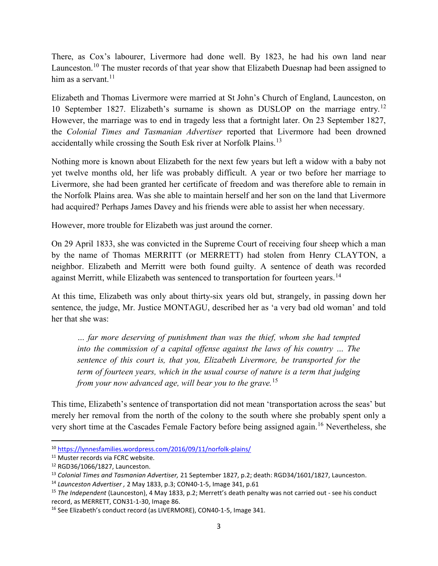There, as Cox's labourer, Livermore had done well. By 1823, he had his own land near Launceston.<sup>10</sup> The muster records of that year show that Elizabeth Duesnap had been assigned to him as a servant. $11$ 

Elizabeth and Thomas Livermore were married at St John's Church of England, Launceston, on 10 September 1827. Elizabeth's surname is shown as DUSLOP on the marriage entry.<sup>12</sup> However, the marriage was to end in tragedy less that a fortnight later. On 23 September 1827, the Colonial Times and Tasmanian Advertiser reported that Livermore had been drowned accidentally while crossing the South Esk river at Norfolk Plains.<sup>13</sup>

Nothing more is known about Elizabeth for the next few years but left a widow with a baby not yet twelve months old, her life was probably difficult. A year or two before her marriage to Livermore, she had been granted her certificate of freedom and was therefore able to remain in the Norfolk Plains area. Was she able to maintain herself and her son on the land that Livermore had acquired? Perhaps James Davey and his friends were able to assist her when necessary.

However, more trouble for Elizabeth was just around the corner.

On 29 April 1833, she was convicted in the Supreme Court of receiving four sheep which a man by the name of Thomas MERRITT (or MERRETT) had stolen from Henry CLAYTON, a neighbor. Elizabeth and Merritt were both found guilty. A sentence of death was recorded against Merritt, while Elizabeth was sentenced to transportation for fourteen years.<sup>14</sup>

At this time, Elizabeth was only about thirty-six years old but, strangely, in passing down her sentence, the judge, Mr. Justice MONTAGU, described her as 'a very bad old woman' and told her that she was:

… far more deserving of punishment than was the thief, whom she had tempted into the commission of a capital offense against the laws of his country … The sentence of this court is, that you, Elizabeth Livermore, be transported for the term of fourteen years, which in the usual course of nature is a term that judging from your now advanced age, will bear you to the grave.<sup>15</sup>

This time, Elizabeth's sentence of transportation did not mean 'transportation across the seas' but merely her removal from the north of the colony to the south where she probably spent only a very short time at the Cascades Female Factory before being assigned again.<sup>16</sup> Nevertheless, she

<sup>10</sup> https://lynnesfamilies.wordpress.com/2016/09/11/norfolk-plains/

<sup>&</sup>lt;sup>11</sup> Muster records via FCRC website.

<sup>12</sup> RGD36/1066/1827, Launceston.

<sup>&</sup>lt;sup>13</sup> Colonial Times and Tasmanian Advertiser, 21 September 1827, p.2; death: RGD34/1601/1827, Launceston.

<sup>14</sup> Launceston Advertiser , 2 May 1833, p.3; CON40-1-5, Image 341, p.61

<sup>&</sup>lt;sup>15</sup> The Independent (Launceston), 4 May 1833, p.2; Merrett's death penalty was not carried out - see his conduct record, as MERRETT, CON31-1-30, Image 86.

<sup>&</sup>lt;sup>16</sup> See Elizabeth's conduct record (as LIVERMORE), CON40-1-5, Image 341.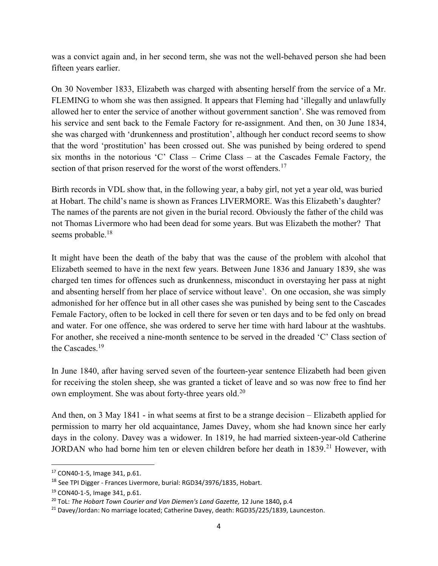was a convict again and, in her second term, she was not the well-behaved person she had been fifteen years earlier.

On 30 November 1833, Elizabeth was charged with absenting herself from the service of a Mr. FLEMING to whom she was then assigned. It appears that Fleming had 'illegally and unlawfully allowed her to enter the service of another without government sanction'. She was removed from his service and sent back to the Female Factory for re-assignment. And then, on 30 June 1834, she was charged with 'drunkenness and prostitution', although her conduct record seems to show that the word 'prostitution' has been crossed out. She was punished by being ordered to spend six months in the notorious 'C' Class – Crime Class – at the Cascades Female Factory, the section of that prison reserved for the worst of the worst offenders.<sup>17</sup>

Birth records in VDL show that, in the following year, a baby girl, not yet a year old, was buried at Hobart. The child's name is shown as Frances LIVERMORE. Was this Elizabeth's daughter? The names of the parents are not given in the burial record. Obviously the father of the child was not Thomas Livermore who had been dead for some years. But was Elizabeth the mother? That seems probable.<sup>18</sup>

It might have been the death of the baby that was the cause of the problem with alcohol that Elizabeth seemed to have in the next few years. Between June 1836 and January 1839, she was charged ten times for offences such as drunkenness, misconduct in overstaying her pass at night and absenting herself from her place of service without leave'. On one occasion, she was simply admonished for her offence but in all other cases she was punished by being sent to the Cascades Female Factory, often to be locked in cell there for seven or ten days and to be fed only on bread and water. For one offence, she was ordered to serve her time with hard labour at the washtubs. For another, she received a nine-month sentence to be served in the dreaded 'C' Class section of the Cascades.<sup>19</sup>

In June 1840, after having served seven of the fourteen-year sentence Elizabeth had been given for receiving the stolen sheep, she was granted a ticket of leave and so was now free to find her own employment. She was about forty-three years old.<sup>20</sup>

And then, on 3 May 1841 - in what seems at first to be a strange decision – Elizabeth applied for permission to marry her old acquaintance, James Davey, whom she had known since her early days in the colony. Davey was a widower. In 1819, he had married sixteen-year-old Catherine JORDAN who had borne him ten or eleven children before her death in 1839.<sup>21</sup> However, with

 $\overline{a}$ 

<sup>17</sup> CON40-1-5, Image 341, p.61.

<sup>&</sup>lt;sup>18</sup> See TPI Digger - Frances Livermore, burial: RGD34/3976/1835, Hobart.

<sup>19</sup> CON40-1-5, Image 341, p.61.

<sup>&</sup>lt;sup>20</sup> ToL: The Hobart Town Courier and Van Diemen's Land Gazette, 12 June 1840, p.4

<sup>&</sup>lt;sup>21</sup> Davey/Jordan: No marriage located; Catherine Davey, death: RGD35/225/1839, Launceston.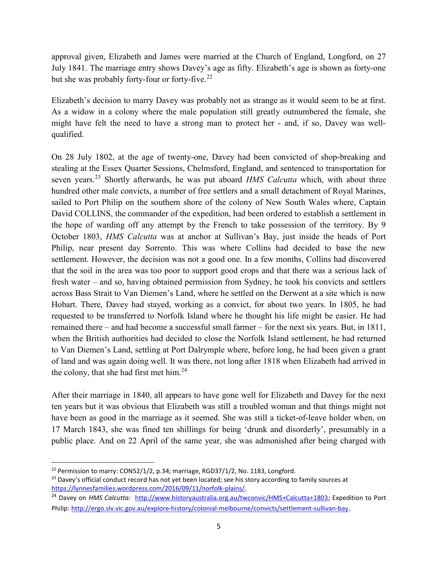approval given, Elizabeth and James were married at the Church of England, Longford, on 27 July 1841. The marriage entry shows Davey's age as fifty. Elizabeth's age is shown as forty-one but she was probably forty-four or forty-five. $^{22}$ 

Elizabeth's decision to marry Davey was probably not as strange as it would seem to be at first. As a widow in a colony where the male population still greatly outnumbered the female, she might have felt the need to have a strong man to protect her - and, if so, Davey was wellqualified.

On 28 July 1802, at the age of twenty-one, Davey had been convicted of shop-breaking and stealing at the Essex Quarter Sessions, Chelmsford, England, and sentenced to transportation for seven years.<sup>23</sup> Shortly afterwards, he was put aboard  $HMS$  Calcutta which, with about three hundred other male convicts, a number of free settlers and a small detachment of Royal Marines, sailed to Port Philip on the southern shore of the colony of New South Wales where, Captain David COLLINS, the commander of the expedition, had been ordered to establish a settlement in the hope of warding off any attempt by the French to take possession of the territory. By 9 October 1803, HMS Calcutta was at anchor at Sullivan's Bay, just inside the heads of Port Philip, near present day Sorrento. This was where Collins had decided to base the new settlement. However, the decision was not a good one. In a few months, Collins had discovered that the soil in the area was too poor to support good crops and that there was a serious lack of fresh water – and so, having obtained permission from Sydney, he took his convicts and settlers across Bass Strait to Van Diemen's Land, where he settled on the Derwent at a site which is now Hobart. There, Davey had stayed, working as a convict, for about two years. In 1805, he had requested to be transferred to Norfolk Island where he thought his life might be easier. He had remained there – and had become a successful small farmer – for the next six years. But, in 1811, when the British authorities had decided to close the Norfolk Island settlement, he had returned to Van Diemen's Land, settling at Port Dalrymple where, before long, he had been given a grant of land and was again doing well. It was there, not long after 1818 when Elizabeth had arrived in the colony, that she had first met him. $24$ 

After their marriage in 1840, all appears to have gone well for Elizabeth and Davey for the next ten years but it was obvious that Elizabeth was still a troubled woman and that things might not have been as good in the marriage as it seemed. She was still a ticket-of-leave holder when, on 17 March 1843, she was fined ten shillings for being 'drunk and disorderly', presumably in a public place. And on 22 April of the same year, she was admonished after being charged with

 $22$  Permission to marry: CON52/1/2, p.34; marriage, RGD37/1/2, No. 1183, Longford.

<sup>&</sup>lt;sup>23</sup> Davey's official conduct record has not yet been located; see his story according to family sources at https://lynnesfamilies.wordpress.com/2016/09/11/norfolk-plains/.

<sup>&</sup>lt;sup>24</sup> Davey on HMS Calcutta: http://www.historyaustralia.org.au/twconvic/HMS+Calcutta+1803; Expedition to Port Philip: http://ergo.slv.vic.gov.au/explore-history/colonial-melbourne/convicts/settlement-sullivan-bay.